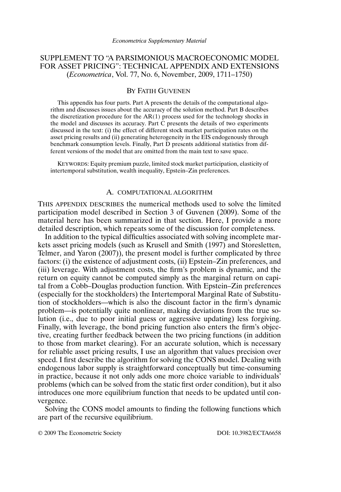## SUPPLEMENT TO "A PARSIMONIOUS MACROECONOMIC MODEL FOR ASSET PRICING": TECHNICAL APPENDIX AND EXTENSIONS (*Econometrica*, Vol. 77, No. 6, November, 2009, 1711–1750)

## BY FATIH GUVENEN

This appendix has four parts. Part A presents the details of the computational algorithm and discusses issues about the accuracy of the solution method. Part B describes the discretization procedure for the  $AR(1)$  process used for the technology shocks in the model and discusses its accuracy. Part C presents the details of two experiments discussed in the text: (i) the effect of different stock market participation rates on the asset pricing results and (ii) generating heterogeneity in the EIS endogenously through benchmark consumption levels. Finally, Part D presents additional statistics from different versions of the model that are omitted from the main text to save space.

KEYWORDS: Equity premium puzzle, limited stock market participation, elasticity of intertemporal substitution, wealth inequality, Epstein–Zin preferences.

#### A. COMPUTATIONAL ALGORITHM

THIS APPENDIX DESCRIBES the numerical methods used to solve the limited participation model described in Section 3 of Guvenen (2009). Some of the material here has been summarized in that section. Here, I provide a more detailed description, which repeats some of the discussion for completeness.

In addition to the typical difficulties associated with solving incomplete markets asset pricing models (such as Krusell and Smith (1997) and Storesletten, Telmer, and Yaron (2007)), the present model is further complicated by three factors: (i) the existence of adjustment costs, (ii) Epstein–Zin preferences, and (iii) leverage. With adjustment costs, the firm's problem is dynamic, and the return on equity cannot be computed simply as the marginal return on capital from a Cobb–Douglas production function. With Epstein–Zin preferences (especially for the stockholders) the Intertemporal Marginal Rate of Substitution of stockholders—which is also the discount factor in the firm's dynamic problem—is potentially quite nonlinear, making deviations from the true solution (i.e., due to poor initial guess or aggressive updating) less forgiving. Finally, with leverage, the bond pricing function also enters the firm's objective, creating further feedback between the two pricing functions (in addition to those from market clearing). For an accurate solution, which is necessary for reliable asset pricing results, I use an algorithm that values precision over speed. I first describe the algorithm for solving the CONS model. Dealing with endogenous labor supply is straightforward conceptually but time-consuming in practice, because it not only adds one more choice variable to individuals' problems (which can be solved from the static first order condition), but it also introduces one more equilibrium function that needs to be updated until convergence.

Solving the CONS model amounts to finding the following functions which are part of the recursive equilibrium.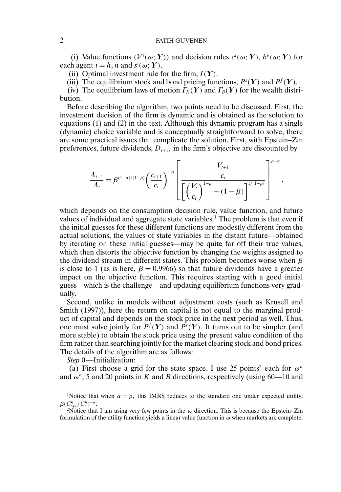(i) Value functions  $(V^i(\omega; Y))$  and decision rules  $c^i(\omega; Y)$ ,  $b^i(\omega; Y)$  for each agent  $i = h, n$  and  $s'(\omega; Y)$ .

(ii) Optimal investment rule for the firm,  $I(Y)$ .

(iii) The equilibrium stock and bond pricing functions,  $P^{s}(\mathbf{Y})$  and  $P^{f}(\mathbf{Y})$ .

(iv) The equilibrium laws of motion  $\Gamma_K(Y)$  and  $\Gamma_B(Y)$  for the wealth distribution.

Before describing the algorithm, two points need to be discussed. First, the investment decision of the firm is dynamic and is obtained as the solution to equations (1) and (2) in the text. Although this dynamic program has a single (dynamic) choice variable and is conceptually straightforward to solve, there are some practical issues that complicate the solution. First, with Epstein–Zin preferences, future dividends,  $D_{t+1}$ , in the firm's objective are discounted by

$$
\frac{\Lambda_{t+1}}{\Lambda_t} = \beta^{(1-\alpha)/(1-\rho)} \left(\frac{c_{t+1}}{c_t}\right)^{-\rho} \left[\frac{\frac{V_{t+1}}{c_t}}{\left[\left(\frac{V_t}{c_t}\right)^{1-\rho} - (1-\beta)\right]^{1/(1-\rho)}}\right]^{\rho-\alpha},\,
$$

which depends on the consumption decision rule, value function, and future values of individual and aggregate state variables.1 The problem is that even if the initial guesses for these different functions are modestly different from the actual solutions, the values of state variables in the distant future—obtained by iterating on these initial guesses—may be quite far off their true values, which then distorts the objective function by changing the weights assigned to the dividend stream in different states. This problem becomes worse when  $\beta$ is close to 1 (as is here,  $\beta = 0.9966$ ) so that future dividends have a greater impact on the objective function. This requires starting with a good initial guess—which is the challenge—and updating equilibrium functions very gradually.

Second, unlike in models without adjustment costs (such as Krusell and Smith (1997)), here the return on capital is not equal to the marginal product of capital and depends on the stock price in the next period as well. Thus, one must solve jointly for  $P^f(Y)$  and  $P^s(Y)$ . It turns out to be simpler (and more stable) to obtain the stock price using the present value condition of the firm rather than searching jointly for the market clearing stock and bond prices. The details of the algorithm are as follows:

*Step* 0—Initialization:

(a) First choose a grid for the state space. I use 25 points<sup>2</sup> each for  $\omega^h$ and  $\omega$ <sup>n</sup>; 5 and 20 points in K and B directions, respectively (using 60—10 and

<sup>1</sup>Notice that when  $\alpha = \rho$ , this IMRS reduces to the standard one under expected utility:  $\beta(C_{t+1}^h/C_t^h)$ 

<sup>2</sup>Notice that I am using very few points in the  $\omega$  direction. This is because the Epstein–Zin formulation of the utility function yields a linear value function in  $\omega$  when markets are complete.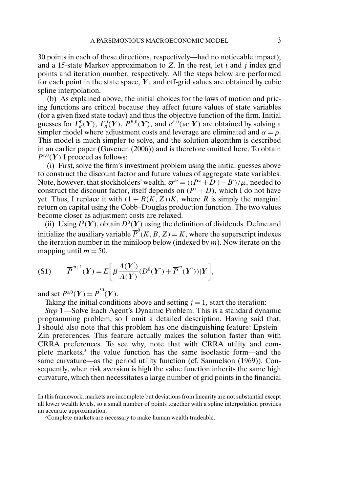30 points in each of these directions, respectively—had no noticeable impact); and a 15-state Markov approximation to  $Z$ . In the rest, let i and j index grid points and iteration number, respectively. All the steps below are performed for each point in the state space,  $\boldsymbol{Y}$ , and off-grid values are obtained by cubic spline interpolation.

(b) As explained above, the initial choices for the laws of motion and pricing functions are critical because they affect future values of state variables (for a given fixed state today) and thus the objective function of the firm. Initial guesses for  $\Gamma_K^0(Y)$ ,  $\Gamma_B^0(Y)$ ,  $P^{B,0}(Y)$ , and  $c^{h,0}(\omega;Y)$  are obtained by solving a simpler model where adjustment costs and leverage are eliminated and  $\alpha = \rho$ . This model is much simpler to solve, and the solution algorithm is described in an earlier paper (Guvenen (2006)) and is therefore omitted here. To obtain  $P^{s,0}(\boldsymbol{Y})$  I proceed as follows:

(i) First, solve the firm's investment problem using the initial guesses above to construct the discount factor and future values of aggregate state variables. Note, however, that stockholders' wealth,  $\varpi^{h'} = ((P^{s'} + D') - B') / \mu$ , needed to construct the discount factor, itself depends on  $(P<sup>s</sup> + D)$ , which I do not have yet. Thus, I replace it with  $(1 + R(K, Z))K$ , where R is simply the marginal return on capital using the Cobb–Douglas production function. The two values become closer as adjustment costs are relaxed.

(ii) Using  $I^0(Y)$ , obtain  $D^0(Y)$  using the definition of dividends. Define and initialize the auxiliary variable  $\overline{P}^0(K, B, Z) = K$ , where the superscript indexes the iteration number in the miniloop below (indexed by  $m$ ). Now iterate on the mapping until  $m = 50$ ,

$$
(S1) \qquad \overline{P}^{m+1}(\boldsymbol{Y}) = E\bigg[\beta \frac{\Lambda(\boldsymbol{Y}')}{\Lambda(\boldsymbol{Y})}(D^0(\boldsymbol{Y}') + \overline{P}^m(\boldsymbol{Y}'))|\boldsymbol{Y}\bigg],
$$

and set  $P^{s,0}(\boldsymbol{Y}) = \overline{P}^{50}(\boldsymbol{Y}).$ 

Taking the initial conditions above and setting  $j = 1$ , start the iteration:

*Step* 1—Solve Each Agent's Dynamic Problem: This is a standard dynamic programming problem, so I omit a detailed description. Having said that, I should also note that this problem has one distinguishing feature: Epstein– Zin preferences. This feature actually makes the solution faster than with CRRA preferences. To see why, note that with CRRA utility and complete markets, $3$  the value function has the same isoelastic form—and the same curvature—as the period utility function (cf. Samuelson (1969)). Consequently, when risk aversion is high the value function inherits the same high curvature, which then necessitates a large number of grid points in the financial

In this framework, markets are incomplete but deviations from linearity are not substantial except all lower wealth levels, so a small number of points together with a spline interpolation provides an accurate approximation.

<sup>&</sup>lt;sup>3</sup>Complete markets are necessary to make human wealth tradeable.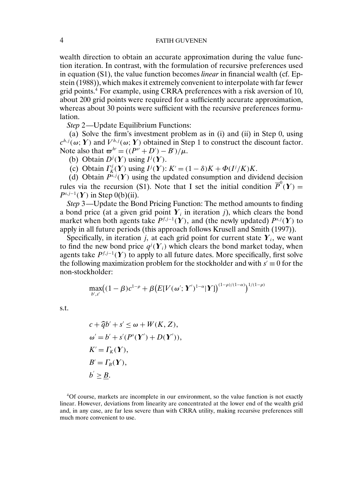wealth direction to obtain an accurate approximation during the value function iteration. In contrast, with the formulation of recursive preferences used in equation (S1), the value function becomes *linear* in financial wealth (cf. Epstein (1988)), which makes it extremely convenient to interpolate with far fewer grid points. $4$  For example, using CRRA preferences with a risk aversion of 10, about 200 grid points were required for a sufficiently accurate approximation, whereas about 30 points were sufficient with the recursive preferences formulation.

*Step* 2—Update Equilibrium Functions:

(a) Solve the firm's investment problem as in (i) and (ii) in Step 0, using  $c^{h,j}(\omega; Y)$  and  $V^{h,j}(\omega; Y)$  obtained in Step 1 to construct the discount factor. Note also that  $\varpi^{h'} = ((P^{s'} + D') - B')/\mu$ .

(b) Obtain  $D^j(Y)$  using  $I^j(Y)$ .

(c) Obtain  $\Gamma_K^j(Y)$  using  $I^j(Y)$ :  $K' = (1 - \delta)K + \Phi(I^j/K)K$ .

(d) Obtain  $P^{s,j}(\Upsilon)$  using the updated consumption and dividend decision rules via the recursion (S1). Note that I set the initial condition  $\overline{P}^0(Y) =$  $P^{s,j-1}(\boldsymbol{Y})$  in Step 0(b)(ii).

*Step* 3—Update the Bond Pricing Function: The method amounts to finding a bond price (at a given grid point  $Y_i$  in iteration j), which clears the bond market when both agents take  $P^{f,j-1}(\boldsymbol{Y})$ , and (the newly updated)  $P^{s,j}(\boldsymbol{Y})$  to apply in all future periods (this approach follows Krusell and Smith (1997)).

Specifically, in iteration j, at each grid point for current state  $Y_i$ , we want to find the new bond price  $q^{j}(\mathbf{Y}_{i})$  which clears the bond market today, when agents take  $P^{f, j-1}$ (Y) to apply to all future dates. More specifically, first solve the following maximization problem for the stockholder and with  $s' \equiv 0$  for the non-stockholder:

$$
\max_{b',s'} \bigl( (1-\beta)c^{1-\rho} + \beta \bigl( E[V(\omega';Y')^{1-\alpha}|Y] \bigr)^{(1-\rho)/(1-\alpha)} \bigr)^{1/(1-\rho)}
$$

s.t.

$$
c + \widehat{q}b' + s' \le \omega + W(K, Z),
$$
  
\n
$$
\omega' = b' + s'(P^s(\mathbf{Y}') + D(\mathbf{Y}')),
$$
  
\n
$$
K' = \Gamma_K(\mathbf{Y}),
$$
  
\n
$$
B' = \Gamma_B(\mathbf{Y}),
$$
  
\n
$$
b' \ge \underline{B}.
$$

4Of course, markets are incomplete in our environment, so the value function is not exactly linear. However, deviations from linearity are concentrated at the lower end of the wealth grid and, in any case, are far less severe than with CRRA utility, making recursive preferences still much more convenient to use.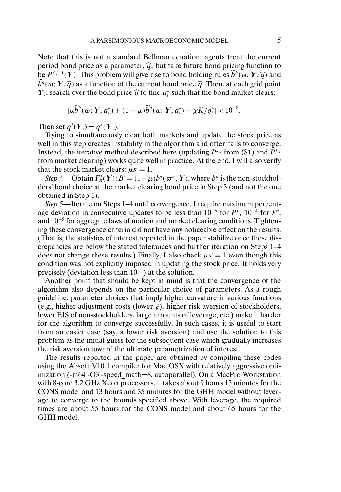Note that this is not a standard Bellman equation: agents treat the current period bond price as a parameter,  $\hat{q}$ , but take future bond pricing function to be  $P^{f,j-1}(\boldsymbol{Y})$ . This problem will give rise to bond holding rules  $b^h(\omega; \boldsymbol{Y}, \widehat{q})$  and  $\widetilde{b}^n(\omega; Y, \widehat{q})$  as a function of the current bond price  $\widehat{q}$ . Then, at each grid point  $\boldsymbol{Y}_i$ , search over the bond price  $\widehat{q}$  to find  $q_i^*$  such that the bond market clears:

$$
|\mu \widetilde{b}^h(\omega; \boldsymbol{Y}, q_i^*) + (1 - \mu) \widetilde{b}^h(\omega; \boldsymbol{Y}, q_i^*) - \chi \overline{K}/q_i^*| < 10^{-8}.
$$

Then set  $q^{j}(\boldsymbol{Y}_{i}) = q^{*}(\boldsymbol{Y}_{i}).$ 

Trying to simultaneously clear both markets and update the stock price as well in this step creates instability in the algorithm and often fails to converge. Instead, the iterative method described here (updating  $P^{s,j}$  from (S1) and  $\tilde{P}^{f,j}$ from market clearing) works quite well in practice. At the end, I will also verify that the stock market clears:  $\mu s' = 1$ .

*Step* 4—Obtain  $\Gamma_B^j(Y)$ :  $B' = (1 - \mu)b^n(\boldsymbol{\varpi}^n, Y)$ , where  $b^n$  is the non-stockholders' bond choice at the market clearing bond price in Step 3 (and not the one obtained in Step 1).

*Step* 5—Iterate on Steps 1–4 until convergence. I require maximum percentage deviation in consecutive updates to be less than  $10^{-6}$  for  $P^f$ ,  $10^{-4}$  for  $P^s$ , and 10−<sup>5</sup> for aggregate laws of motion and market clearing conditions. Tightening these convergence criteria did not have any noticeable effect on the results. (That is, the statistics of interest reported in the paper stabilize once these discrepancies are below the stated tolerances and further iteration on Steps 1–4 does not change these results.) Finally, I also check  $\mu s' = 1$  even though this condition was not explicitly imposed in updating the stock price. It holds very precisely (deviation less than  $10^{-5}$ ) at the solution.

Another point that should be kept in mind is that the convergence of the algorithm also depends on the particular choice of parameters. As a rough guideline, parameter choices that imply higher curvature in various functions (e.g., higher adjustment costs (lower  $\xi$ ), higher risk aversion of stockholders, lower EIS of non-stockholders, large amounts of leverage, etc.) make it harder for the algorithm to converge successfully. In such cases, it is useful to start from an easier case (say, a lower risk aversion) and use the solution to this problem as the initial guess for the subsequent case which gradually increases the risk aversion toward the ultimate parametrization of interest.

The results reported in the paper are obtained by compiling these codes using the Absoft V10.1 compiler for Mac OSX with relatively aggressive optimization (-m64 -O3 -speed\_math=8, autoparallel). On a MacPro Workstation with 8-core 3.2 GHz Xeon processors, it takes about 9 hours 15 minutes for the CONS model and 13 hours and 35 minutes for the GHH model without leverage to converge to the bounds specified above. With leverage, the required times are about 55 hours for the CONS model and about 65 hours for the GHH model.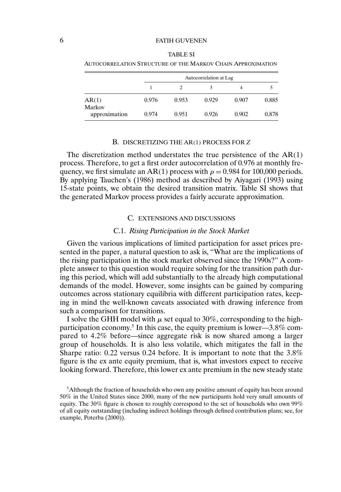| AUTOCORRELATION STRUCTURE OF THE MARKOV CHAIN APPROXIMATION |                        |       |       |       |       |  |  |  |
|-------------------------------------------------------------|------------------------|-------|-------|-------|-------|--|--|--|
|                                                             | Autocorrelation at Lag |       |       |       |       |  |  |  |
|                                                             |                        |       | 3     | 4     |       |  |  |  |
| AR(1)<br>Markov                                             | 0.976                  | 0.953 | 0.929 | 0.907 | 0.885 |  |  |  |
| approximation                                               | 0.974                  | 0.951 | 0.926 | 0.902 | 0.878 |  |  |  |

| <b>TABLE SI</b>                                            |
|------------------------------------------------------------|
| jtocorrelation Structure of the Markov Chain Approximation |

## B. DISCRETIZING THE AR(1) PROCESS FOR *Z*

The discretization method understates the true persistence of the  $AR(1)$ process. Therefore, to get a first order autocorrelation of 0.976 at monthly frequency, we first simulate an AR(1) process with  $\rho = 0.984$  for 100,000 periods. By applying Tauchen's (1986) method as described by Aiyagari (1993) using 15-state points, we obtain the desired transition matrix. Table SI shows that the generated Markov process provides a fairly accurate approximation.

### C. EXTENSIONS AND DISCUSSIONS

#### C.1. *Rising Participation in the Stock Market*

Given the various implications of limited participation for asset prices presented in the paper, a natural question to ask is, "What are the implications of the rising participation in the stock market observed since the 1990s?" A complete answer to this question would require solving for the transition path during this period, which will add substantially to the already high computational demands of the model. However, some insights can be gained by comparing outcomes across stationary equilibria with different participation rates, keeping in mind the well-known caveats associated with drawing inference from such a comparison for transitions.

I solve the GHH model with  $\mu$  set equal to 30%, corresponding to the highparticipation economy.<sup>5</sup> In this case, the equity premium is lower—3.8% compared to 42% before—since aggregate risk is now shared among a larger group of households. It is also less volatile, which mitigates the fall in the Sharpe ratio:  $0.22$  versus  $0.24$  before. It is important to note that the  $3.8\%$ figure is the ex ante equity premium, that is, what investors expect to receive looking forward. Therefore, this lower ex ante premium in the new steady state

<sup>5</sup>Although the fraction of households who own any positive amount of equity has been around 50% in the United States since 2000, many of the new participants hold very small amounts of equity. The 30% figure is chosen to roughly correspond to the set of households who own 99% of all equity outstanding (including indirect holdings through defined contribution plans; see, for example, Poterba (2000)).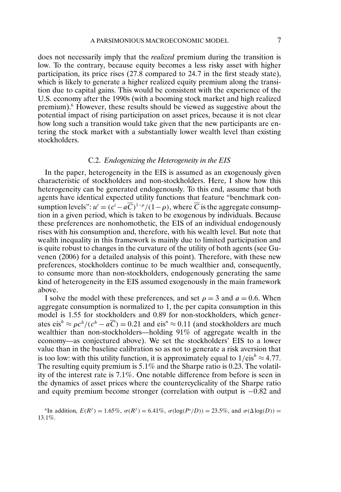does not necessarily imply that the *realized* premium during the transition is low. To the contrary, because equity becomes a less risky asset with higher participation, its price rises (278 compared to 247 in the first steady state), which is likely to generate a higher realized equity premium along the transition due to capital gains. This would be consistent with the experience of the U.S. economy after the 1990s (with a booming stock market and high realized premium).6 However, these results should be viewed as suggestive about the potential impact of rising participation on asset prices, because it is not clear how long such a transition would take given that the new participants are entering the stock market with a substantially lower wealth level than existing stockholders.

## C.2. *Endogenizing the Heterogeneity in the EIS*

In the paper, heterogeneity in the EIS is assumed as an exogenously given characteristic of stockholders and non-stockholders. Here, I show how this heterogeneity can be generated endogenously. To this end, assume that both agents have identical expected utility functions that feature "benchmark consumption levels":  $u^i = (c^i - aC)^{1-\rho}/(1-\rho)$ , where C is the aggregate consumption in a given period, which is taken to be exogenous by individuals. Because these preferences are nonhomothetic, the EIS of an individual endogenously rises with his consumption and, therefore, with his wealth level. But note that wealth inequality in this framework is mainly due to limited participation and is quite robust to changes in the curvature of the utility of both agents (see Guvenen (2006) for a detailed analysis of this point). Therefore, with these new preferences, stockholders continue to be much wealthier and, consequently, to consume more than non-stockholders, endogenously generating the same kind of heterogeneity in the EIS assumed exogenously in the main framework above.

I solve the model with these preferences, and set  $\rho = 3$  and  $a = 0.6$ . When aggregate consumption is normalized to 1, the per capita consumption in this model is 1.55 for stockholders and 0.89 for non-stockholders, which generates eis<sup>h</sup> ≈  $\varrho c^h/(c^h - a\overline{C}) = 0.21$  and eis<sup>n</sup> ≈ 0.11 (and stockholders are much wealthier than non-stockholders—holding 91% of aggregate wealth in the economy—as conjectured above). We set the stockholders' EIS to a lower value than in the baseline calibration so as not to generate a risk aversion that is too low: with this utility function, it is approximately equal to  $1/eis^h \approx 4.77$ . The resulting equity premium is  $5.1\%$  and the Sharpe ratio is 0.23. The volatility of the interest rate is 71% One notable difference from before is seen in the dynamics of asset prices where the countercyclicality of the Sharpe ratio and equity premium become stronger (correlation with output is −082 and

<sup>6</sup>In addition,  $E(R^f) = 1.65\%$ ,  $\sigma(R^f) = 6.41\%$ ,  $\sigma(\log(P^s/D)) = 23.5\%$ , and  $\sigma(\Delta \log(D)) =$ 131%.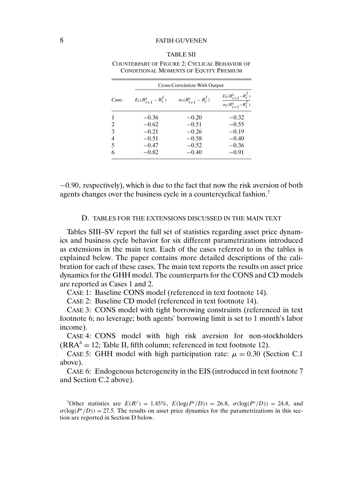#### TABLE SII

|                |                          | Cross-Correlation With Output |                                                              |  |  |  |  |  |
|----------------|--------------------------|-------------------------------|--------------------------------------------------------------|--|--|--|--|--|
| Case:          | $E_t(R_{t+1}^s - R_t^f)$ | $\sigma_t(R_{t+1}^s - R_t^f)$ | $\frac{E_t(R_{t+1}^s - R_t^f)}{\sigma_t(R_{t+1}^s - R_t^f)}$ |  |  |  |  |  |
|                | $-0.36$                  | $-0.20$                       | $-0.32$                                                      |  |  |  |  |  |
| 2              | $-0.62$                  | $-0.51$                       | $-0.55$                                                      |  |  |  |  |  |
| 3              | $-0.21$                  | $-0.26$                       | $-0.19$                                                      |  |  |  |  |  |
| $\overline{4}$ | $-0.51$                  | $-0.58$                       | $-0.40$                                                      |  |  |  |  |  |
| 5              | $-0.47$                  | $-0.52$                       | $-0.36$                                                      |  |  |  |  |  |
| 6              | $-0.82$                  | $-0.40$                       | $-0.91$                                                      |  |  |  |  |  |

#### COUNTERPART OF FIGURE 2: CYCLICAL BEHAVIOR OF CONDITIONAL MOMENTS OF EQUITY PREMIUM

−0.90, respectively), which is due to the fact that now the risk aversion of both agents changes over the business cycle in a countercyclical fashion.7

## D. TABLES FOR THE EXTENSIONS DISCUSSED IN THE MAIN TEXT

Tables SIII–SV report the full set of statistics regarding asset price dynamics and business cycle behavior for six different parametrizations introduced as extensions in the main text. Each of the cases referred to in the tables is explained below. The paper contains more detailed descriptions of the calibration for each of these cases. The main text reports the results on asset price dynamics for the GHH model. The counterparts for the CONS and CD models are reported as Cases 1 and 2.

CASE 1: Baseline CONS model (referenced in text footnote 14).

CASE 2: Baseline CD model (referenced in text footnote 14).

CASE 3: CONS model with tight borrowing constraints (referenced in text footnote 6; no leverage; both agents' borrowing limit is set to 1 month's labor income).

CASE 4: CONS model with high risk aversion for non-stockholders  $(RRA<sup>h</sup> = 12$ ; Table II, fifth column; referenced in text footnote 12).

CASE 5: GHH model with high participation rate:  $\mu = 0.30$  (Section C.1) above)

CASE 6: Endogenous heterogeneity in the EIS (introduced in text footnote 7 and Section C.2 above).

<sup>7</sup>Other statistics are  $E(R^f) = 1.45\%, E(\log(P^s/D)) = 26.8, \sigma(\log(P^s/D)) = 24.8, \text{ and}$  $\sigma(\log(P<sup>s</sup>/D)) = 27.5$ . The results on asset price dynamics for the parametrizations in this section are reported in Section D below.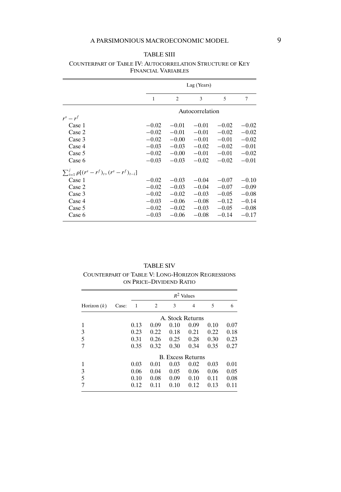# A PARSIMONIOUS MACROECONOMIC MODEL 9

## TABLE SIII

|                                                          |         | Lag (Years)     |         |         |         |  |  |  |
|----------------------------------------------------------|---------|-----------------|---------|---------|---------|--|--|--|
|                                                          | 1       | 2               | 3       | 5       | 7       |  |  |  |
|                                                          |         | Autocorrelation |         |         |         |  |  |  |
| $r^s - r^f$                                              |         |                 |         |         |         |  |  |  |
| Case 1                                                   | $-0.02$ | $-0.01$         | $-0.01$ | $-0.02$ | $-0.02$ |  |  |  |
| Case 2                                                   | $-0.02$ | $-0.01$         | $-0.01$ | $-0.02$ | $-0.02$ |  |  |  |
| Case 3                                                   | $-0.02$ | $-0.00$         | $-0.01$ | $-0.01$ | $-0.02$ |  |  |  |
| Case 4                                                   | $-0.03$ | $-0.03$         | $-0.02$ | $-0.02$ | $-0.01$ |  |  |  |
| Case 5                                                   | $-0.02$ | $-0.00$         | $-0.01$ | $-0.01$ | $-0.02$ |  |  |  |
| Case 6                                                   | $-0.03$ | $-0.03$         | $-0.02$ | $-0.02$ | $-0.01$ |  |  |  |
| $\sum_{i=1}^{j} \rho [(r^s - r^f)_t, (r^s - r^f)_{t-i}]$ |         |                 |         |         |         |  |  |  |
| Case 1                                                   | $-0.02$ | $-0.03$         | $-0.04$ | $-0.07$ | $-0.10$ |  |  |  |
| Case 2                                                   | $-0.02$ | $-0.03$         | $-0.04$ | $-0.07$ | $-0.09$ |  |  |  |
| Case 3                                                   | $-0.02$ | $-0.02$         | $-0.03$ | $-0.05$ | $-0.08$ |  |  |  |
| Case 4                                                   | $-0.03$ | $-0.06$         | $-0.08$ | $-0.12$ | $-0.14$ |  |  |  |
| Case 5                                                   | $-0.02$ | $-0.02$         | $-0.03$ | $-0.05$ | $-0.08$ |  |  |  |
| Case 6                                                   | $-0.03$ | $-0.06$         | $-0.08$ | $-0.14$ | $-0.17$ |  |  |  |

## COUNTERPART OF TABLE IV: AUTOCORRELATION STRUCTURE OF KEY FINANCIAL VARIABLES

TABLE SIV

COUNTERPART OF TABLE V: LONG-HORIZON REGRESSIONS ON PRICE–DIVIDEND RATIO

|               |       | $R^2$ Values             |      |      |                |      |      |  |
|---------------|-------|--------------------------|------|------|----------------|------|------|--|
| Horizon $(k)$ | Case: | 1                        | 2    | 3    | $\overline{4}$ | 5    | 6    |  |
|               |       | A. Stock Returns         |      |      |                |      |      |  |
| 1             |       | 0.13                     | 0.09 | 0.10 | 0.09           | 0.10 | 0.07 |  |
| 3             |       | 0.23                     | 0.22 | 0.18 | 0.21           | 0.22 | 0.18 |  |
| 5             |       | 0.31                     | 0.26 | 0.25 | 0.28           | 0.30 | 0.23 |  |
|               |       | 0.35                     | 0.32 | 0.30 | 0.34           | 0.35 | 0.27 |  |
|               |       | <b>B.</b> Excess Returns |      |      |                |      |      |  |
| 1             |       | 0.03                     | 0.01 | 0.03 | 0.02           | 0.03 | 0.01 |  |
| 3             |       | 0.06                     | 0.04 | 0.05 | 0.06           | 0.06 | 0.05 |  |
| 5             |       | 0.10                     | 0.08 | 0.09 | 0.10           | 0.11 | 0.08 |  |
|               |       | 0.12                     | 0.11 | 0.10 | 0.12           | 0.13 | 0.11 |  |